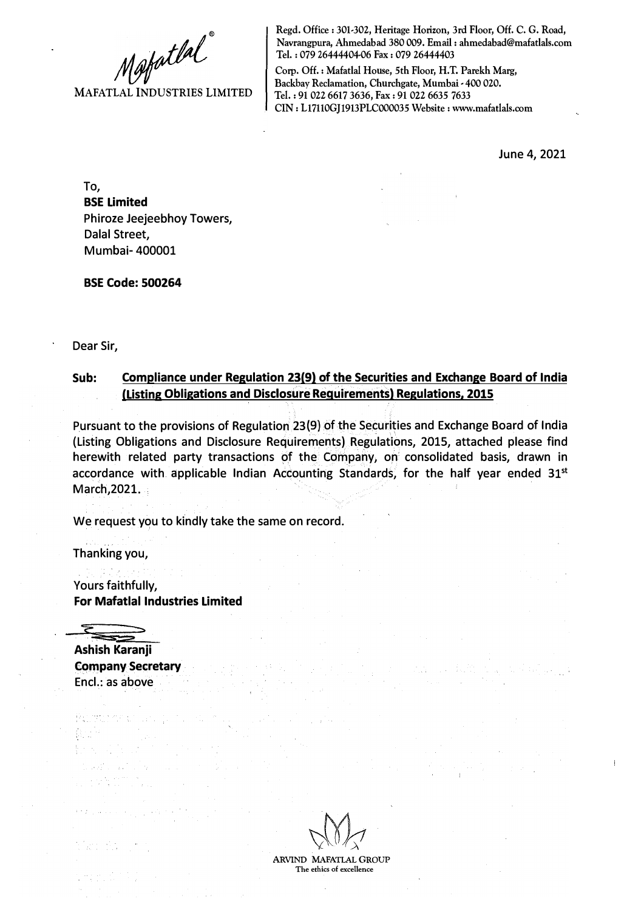Mafatlal<sup>"</sup>

**Regd. Office: 301-302, Heritage Horizon, 3rd Floor, Off. C. G. Road, Navrangpura, Ahmedabad 380 009. Email: ahmedabad@mafatlals.com Tel. : 079 26444404-06 Fax : 079 26444403** 

**Corp. Off.: Mafatlal House, 5th Floor, H.T. Parekh Marg,**  Backbay Reclamation, Churchgate, Mumbai - 400 020. **Tel. : 91 022 6617 3636, Fax: 91 022 6635 7633 CIN: Ll7110GJ1913PLC000035 Website: www.mafatlals.com** 

June 4, 2021

Ť

**To, BSE Limited**  Phiroze Jeejeebhoy Towers, Dalal Street, Mumbai- 400001

**BSE Code: 500264** 

Dear Sir,

## **Sub: Compliance under Regulation 23(9) of the Securities and Exchange Board of India (Listing Obligations and Disclosure Requirements) Regulations, 2015**

Pursuant to the provisions of Regulation 23(9) of the Securities and Exchange Board of India (Listing Obligations and Disclosure Requirements) Regulations, 2015, attached please find herewith related party transactions of the Company, on consolidated basis, drawn in accordance with. applicable Indian Accounting Standards, for the half year ended 31 **st**  March, 2021.

We request you to kindly take the same on record.

Thanking you,

Yours faithfully, **For Mafatlal Industries Limited** 



**Ashish Karanji Company Secretary**  Encl.: as above

**ARVIND MAFATLAL GROUP The ethics of excellence**